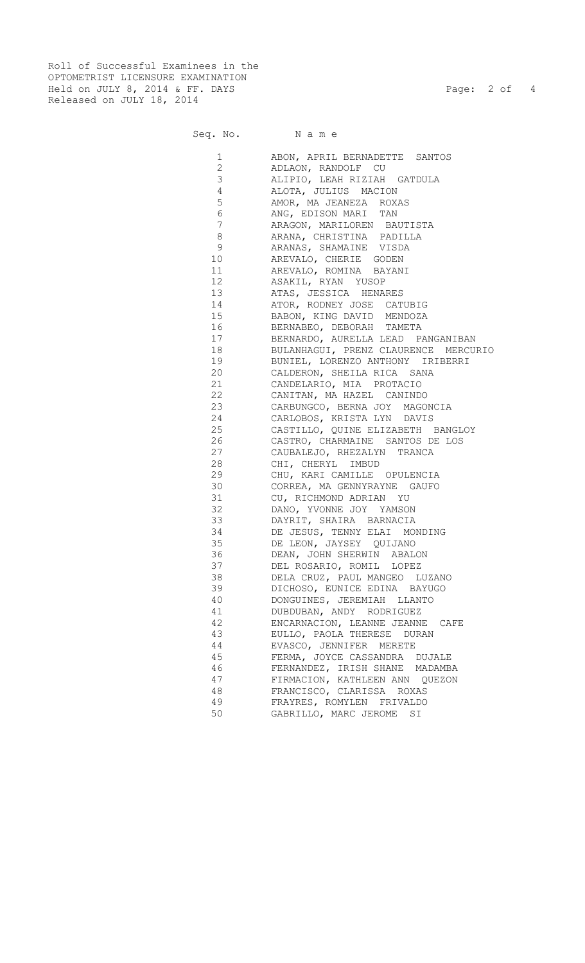Roll of Successful Examinees in the OPTOMETRIST LICENSURE EXAMINATION Held on JULY 8, 2014 & FF. DAYS Page: 2 of 4 Released on JULY 18, 2014

Seq. No. N

| . .<br>v | v<br>× |
|----------|--------|

| $\mathbf 1$     | ABON, APRIL BERNADETTE SANTOS                   |
|-----------------|-------------------------------------------------|
| $\overline{2}$  | ADLAON, RANDOLF CU                              |
| 3               | ALIPIO, LEAH RIZIAH GATDULA                     |
| $\overline{4}$  | ALOTA, JULIUS MACION                            |
| 5               | AMOR, MA JEANEZA ROXAS                          |
| 6               | ANG, EDISON MARI TAN                            |
| $7\phantom{.0}$ | ARAGON, MARILOREN BAUTISTA                      |
| 8               | ARANA, CHRISTINA PADILLA                        |
| 9               | ARANAS, SHAMAINE VISDA                          |
| 10              | AREVALO, CHERIE GODEN                           |
| 11              | AREVALO, ROMINA BAYANI                          |
| 12              | ASAKIL, RYAN YUSOP                              |
| 13              | ATAS, JESSICA HENARES                           |
| 14              | ATOR, RODNEY JOSE CATUBIG                       |
|                 | 15 BABON, KING DAVID MENDOZA                    |
|                 | 16 BERNABEO, DEBORAH TAMETA                     |
|                 | 17 BERNARDO, AURELLA LEAD PANGANIBAN            |
|                 | 18 BULANHAGUI, PRENZ CLAURENCE MERCURIO         |
| 19              | BUNIEL, LORENZO ANTHONY IRIBERRI                |
| 20              | CALDERON, SHEILA RICA SANA                      |
| 21              | CANDELARIO, MIA PROTACIO                        |
| 22              | CANITAN, MA HAZEL CANINDO                       |
|                 | 23 CARBUNGCO, BERNA JOY MAGONCIA                |
| 24              | CARLOBOS, KRISTA LYN DAVIS                      |
| 25              | CASTILLO, QUINE ELIZABETH BANGLOY               |
| 26              |                                                 |
| 27              | CASTRO, CHARMAINE SANTOS DE LOS                 |
| 28              | CAUBALEJO, RHEZALYN TRANCA<br>CHI, CHERYL IMBUD |
| 29              | CHU, KARI CAMILLE OPULENCIA                     |
| 30              | CORREA, MA GENNYRAYNE GAUFO                     |
| 31              |                                                 |
| 32              | CU, RICHMOND ADRIAN YU                          |
|                 | DANO, YVONNE JOY YAMSON                         |
|                 | 33 DAYRIT, SHAIRA BARNACIA                      |
| 34              | DE JESUS, TENNY ELAI MONDING                    |
| 35              | DE LEON, JAYSEY QUIJANO                         |
| 36              | DEAN, JOHN SHERWIN ABALON                       |
| 37              | DEL ROSARIO, ROMIL LOPEZ                        |
| 38              | DELA CRUZ, PAUL MANGEO LUZANO                   |
| 39              | DICHOSO, EUNICE EDINA BAYUGO                    |
| 40              | DONGUINES, JEREMIAH LLANTO                      |
| 41              | DUBDUBAN, ANDY RODRIGUEZ                        |
| 42              | ENCARNACION, LEANNE JEANNE<br>CAFE              |
| 43              | EULLO, PAOLA THERESE DURAN                      |
| 44              | EVASCO, JENNIFER MERETE                         |
| 45              | FERMA, JOYCE CASSANDRA DUJALE                   |
| 46              | FERNANDEZ, IRISH SHANE MADAMBA                  |
| 47              | FIRMACION, KATHLEEN ANN QUEZON                  |
| 48              | FRANCISCO, CLARISSA ROXAS                       |
| 49              | FRAYRES, ROMYLEN FRIVALDO                       |
| 50              | GABRILLO, MARC JEROME<br>SI                     |
|                 |                                                 |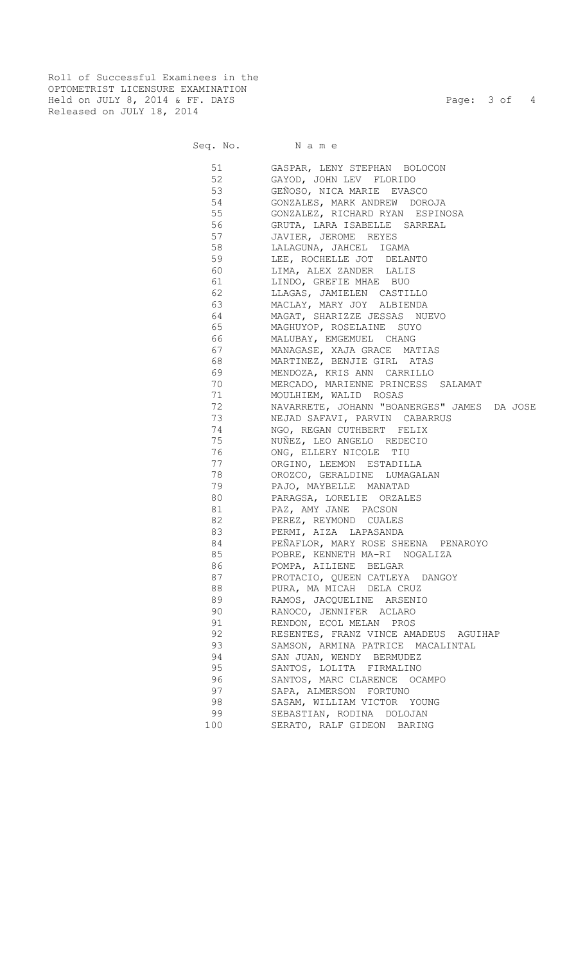Roll of Successful Examinees in the OPTOMETRIST LICENSURE EXAMINATION Held on JULY 8, 2014 & FF. DAYS Page: 3 of 4 Released on JULY 18, 2014

Seq. No. Name

 51 GASPAR, LENY STEPHAN BOLOCON 52 GAYOD, JOHN LEV FLORIDO 53 GEÑOSO, NICA MARIE EVASCO 54 GONZALES, MARK ANDREW DOROJA 55 GONZALEZ, RICHARD RYAN ESPINOSA 56 GRUTA, LARA ISABELLE SARREAL 57 JAVIER, JEROME REYES 58 LALAGUNA, JAHCEL IGAMA 59 LEE, ROCHELLE JOT DELANTO<br>60 LIMA, ALEX ZANDER LALIS LIMA, ALEX ZANDER LALIS 61 LINDO, GREFIE MHAE BUO 62 LLAGAS, JAMIELEN CASTILLO 63 MACLAY, MARY JOY ALBIENDA 64 MAGAT, SHARIZZE JESSAS NUEVO 65 MAGHUYOP, ROSELAINE SUYO 66 MALUBAY, EMGEMUEL CHANG 67 MANAGASE, XAJA GRACE MATIAS 68 MARTINEZ, BENJIE GIRL ATAS 69 MENDOZA, KRIS ANN CARRILLO 70 MERCADO, MARIENNE PRINCESS SALAMAT 71 MOULHIEM, WALID ROSAS 72 NAVARRETE, JOHANN "BOANERGES" JAMES DA JOSE NEJAD SAFAVI, PARVIN CABARRUS 74 NGO, REGAN CUTHBERT FELIX 75 NUÑEZ, LEO ANGELO REDECIO<br>76 ONG, ELLERY NICOLE TIU ONG, ELLERY NICOLE TIU 77 ORGINO, LEEMON ESTADILLA 78 OROZCO, GERALDINE LUMAGALAN 79 PAJO, MAYBELLE MANATAD 80 PARAGSA, LORELIE ORZALES 81 PAZ, AMY JANE PACSON **82** PEREZ, REYMOND CUALES **83** PERMI, AIZA LAPASANDA 84 PEÑAFLOR, MARY ROSE SHEENA PENAROYO 85 POBRE, KENNETH MA-RI NOGALIZA 86 POMPA, AILIENE BELGAR 87 PROTACIO, QUEEN CATLEYA DANGOY 88 PURA, MA MICAH DELA CRUZ 89 RAMOS, JACQUELINE ARSENIO 90 RANOCO, JENNIFER ACLARO 91 RENDON, ECOL MELAN PROS 92 RESENTES, FRANZ VINCE AMADEUS AGUIHAP 93 SAMSON, ARMINA PATRICE MACALINTAL 94 SAN JUAN, WENDY BERMUDEZ 95 SANTOS, LOLITA FIRMALINO 96 SANTOS, MARC CLARENCE OCAMPO<br>97 SAPA, ALMERSON FORTUNO SAPA, ALMERSON FORTUNO 98 SASAM, WILLIAM VICTOR YOUNG SEBASTIAN, RODINA DOLOJAN 100 SERATO, RALF GIDEON BARING